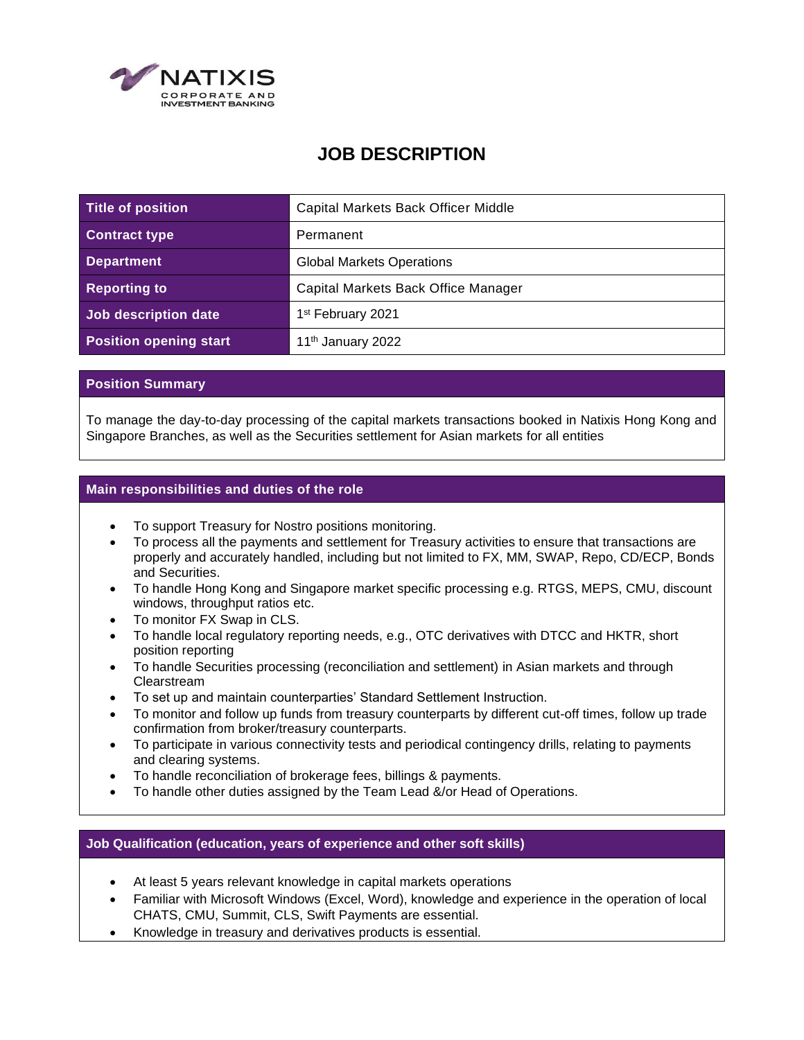

## **JOB DESCRIPTION**

| Title of position             | Capital Markets Back Officer Middle |
|-------------------------------|-------------------------------------|
| <b>Contract type</b>          | Permanent                           |
| <b>Department</b>             | <b>Global Markets Operations</b>    |
| <b>Reporting to</b>           | Capital Markets Back Office Manager |
| Job description date          | 1 <sup>st</sup> February 2021       |
| <b>Position opening start</b> | 11 <sup>th</sup> January 2022       |

## **Position Summary**

To manage the day-to-day processing of the capital markets transactions booked in Natixis Hong Kong and Singapore Branches, as well as the Securities settlement for Asian markets for all entities

## **Main responsibilities and duties of the role**

- To support Treasury for Nostro positions monitoring.
- To process all the payments and settlement for Treasury activities to ensure that transactions are properly and accurately handled, including but not limited to FX, MM, SWAP, Repo, CD/ECP, Bonds and Securities.
- To handle Hong Kong and Singapore market specific processing e.g. RTGS, MEPS, CMU, discount windows, throughput ratios etc.
- To monitor FX Swap in CLS.
- To handle local regulatory reporting needs, e.g., OTC derivatives with DTCC and HKTR, short position reporting
- To handle Securities processing (reconciliation and settlement) in Asian markets and through Clearstream
- To set up and maintain counterparties' Standard Settlement Instruction.
- To monitor and follow up funds from treasury counterparts by different cut-off times, follow up trade confirmation from broker/treasury counterparts.
- To participate in various connectivity tests and periodical contingency drills, relating to payments and clearing systems.
- To handle reconciliation of brokerage fees, billings & payments.
- To handle other duties assigned by the Team Lead &/or Head of Operations.

## **Job Qualification (education, years of experience and other soft skills)**

- At least 5 years relevant knowledge in capital markets operations
- Familiar with Microsoft Windows (Excel, Word), knowledge and experience in the operation of local CHATS, CMU, Summit, CLS, Swift Payments are essential.
- Knowledge in treasury and derivatives products is essential.